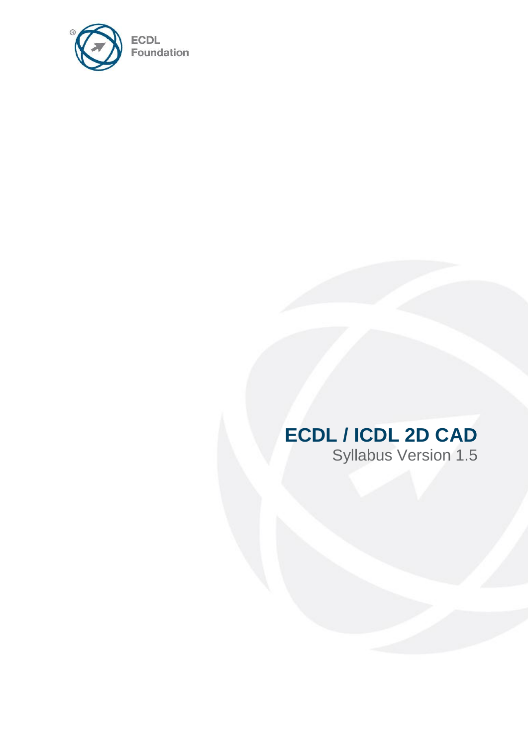

# **ECDL / ICDL 2D CAD**

Syllabus Version 1.5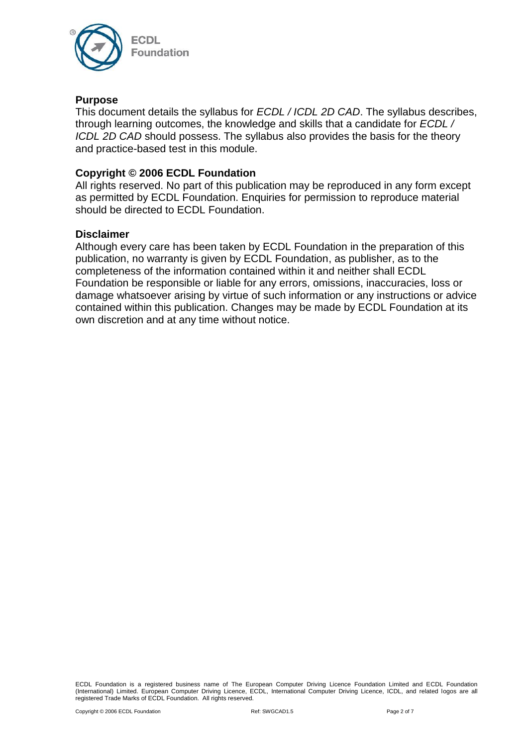

#### **Purpose**

This document details the syllabus for *ECDL / ICDL 2D CAD*. The syllabus describes, through learning outcomes, the knowledge and skills that a candidate for *ECDL / ICDL 2D CAD* should possess. The syllabus also provides the basis for the theory and practice-based test in this module.

#### **Copyright © 2006 ECDL Foundation**

All rights reserved. No part of this publication may be reproduced in any form except as permitted by ECDL Foundation. Enquiries for permission to reproduce material should be directed to ECDL Foundation.

#### **Disclaimer**

Although every care has been taken by ECDL Foundation in the preparation of this publication, no warranty is given by ECDL Foundation, as publisher, as to the completeness of the information contained within it and neither shall ECDL Foundation be responsible or liable for any errors, omissions, inaccuracies, loss or damage whatsoever arising by virtue of such information or any instructions or advice contained within this publication. Changes may be made by ECDL Foundation at its own discretion and at any time without notice.

ECDL Foundation is a registered business name of The European Computer Driving Licence Foundation Limited and ECDL Foundation (International) Limited. European Computer Driving Licence, ECDL, International Computer Driving Licence, ICDL, and related logos are all registered Trade Marks of ECDL Foundation. All rights reserved.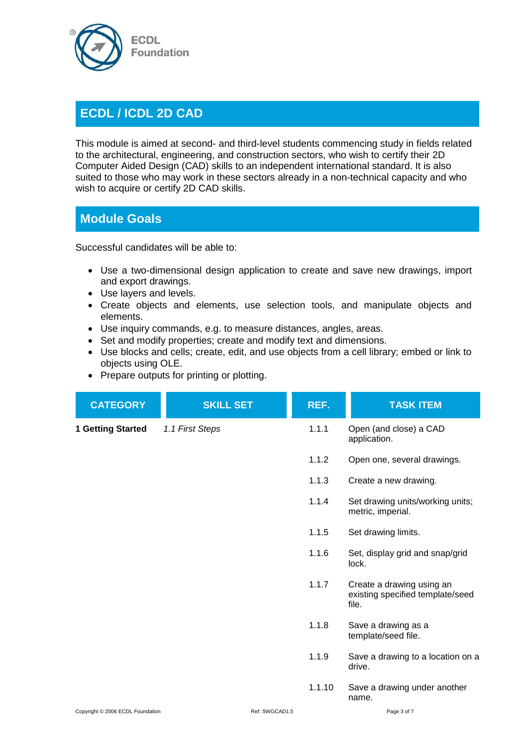

## **ECDL / ICDL 2D CAD**

This module is aimed at second- and third-level students commencing study in fields related to the architectural, engineering, and construction sectors, who wish to certify their 2D Computer Aided Design (CAD) skills to an independent international standard. It is also suited to those who may work in these sectors already in a non-technical capacity and who wish to acquire or certify 2D CAD skills.

### **Module Goals**

Successful candidates will be able to:

- Use a two-dimensional design application to create and save new drawings, import and export drawings.
- Use layers and levels.
- Create objects and elements, use selection tools, and manipulate objects and elements.
- Use inquiry commands, e.g. to measure distances, angles, areas.
- Set and modify properties; create and modify text and dimensions.
- Use blocks and cells; create, edit, and use objects from a cell library; embed or link to objects using OLE.
- Prepare outputs for printing or plotting.

| <b>CATEGORY</b>                  | <b>SKILL SET</b> | REF.   | <b>TASK ITEM</b>                                                       |
|----------------------------------|------------------|--------|------------------------------------------------------------------------|
| 1 Getting Started                | 1.1 First Steps  | 1.1.1  | Open (and close) a CAD<br>application.                                 |
|                                  |                  | 1.1.2  | Open one, several drawings.                                            |
|                                  |                  | 1.1.3  | Create a new drawing.                                                  |
|                                  |                  | 1.1.4  | Set drawing units/working units;<br>metric, imperial.                  |
|                                  |                  | 1.1.5  | Set drawing limits.                                                    |
|                                  |                  | 1.1.6  | Set, display grid and snap/grid<br>lock.                               |
|                                  |                  | 1.1.7  | Create a drawing using an<br>existing specified template/seed<br>file. |
|                                  |                  | 1.1.8  | Save a drawing as a<br>template/seed file.                             |
|                                  |                  | 1.1.9  | Save a drawing to a location on a<br>drive.                            |
|                                  |                  | 1.1.10 | Save a drawing under another<br>name.                                  |
| Copyright © 2006 ECDL Foundation | Ref: SWGCAD1.5   |        | Page 3 of 7                                                            |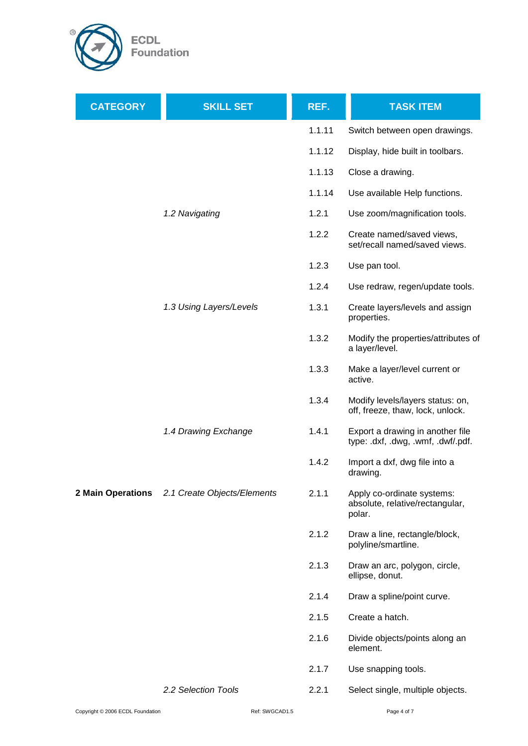

| <b>CATEGORY</b>   | <b>SKILL SET</b>            | REF.   | <b>TASK ITEM</b>                                                        |
|-------------------|-----------------------------|--------|-------------------------------------------------------------------------|
|                   |                             | 1.1.11 | Switch between open drawings.                                           |
|                   |                             | 1.1.12 | Display, hide built in toolbars.                                        |
|                   |                             | 1.1.13 | Close a drawing.                                                        |
|                   |                             | 1.1.14 | Use available Help functions.                                           |
|                   | 1.2 Navigating              | 1.2.1  | Use zoom/magnification tools.                                           |
|                   |                             | 1.2.2  | Create named/saved views,<br>set/recall named/saved views.              |
|                   |                             | 1.2.3  | Use pan tool.                                                           |
|                   |                             | 1.2.4  | Use redraw, regen/update tools.                                         |
|                   | 1.3 Using Layers/Levels     | 1.3.1  | Create layers/levels and assign<br>properties.                          |
|                   |                             | 1.3.2  | Modify the properties/attributes of<br>a layer/level.                   |
|                   |                             | 1.3.3  | Make a layer/level current or<br>active.                                |
|                   |                             | 1.3.4  | Modify levels/layers status: on,<br>off, freeze, thaw, lock, unlock.    |
|                   | 1.4 Drawing Exchange        | 1.4.1  | Export a drawing in another file<br>type: .dxf, .dwg, .wmf, .dwf/.pdf.  |
|                   |                             | 1.4.2  | Import a dxf, dwg file into a<br>drawing.                               |
| 2 Main Operations | 2.1 Create Objects/Elements | 2.1.1  | Apply co-ordinate systems:<br>absolute, relative/rectangular,<br>polar. |
|                   |                             | 2.1.2  | Draw a line, rectangle/block,<br>polyline/smartline.                    |
|                   |                             | 2.1.3  | Draw an arc, polygon, circle,<br>ellipse, donut.                        |
|                   |                             | 2.1.4  | Draw a spline/point curve.                                              |
|                   |                             | 2.1.5  | Create a hatch.                                                         |
|                   |                             | 2.1.6  | Divide objects/points along an<br>element.                              |
|                   |                             | 2.1.7  | Use snapping tools.                                                     |
|                   | 2.2 Selection Tools         | 2.2.1  | Select single, multiple objects.                                        |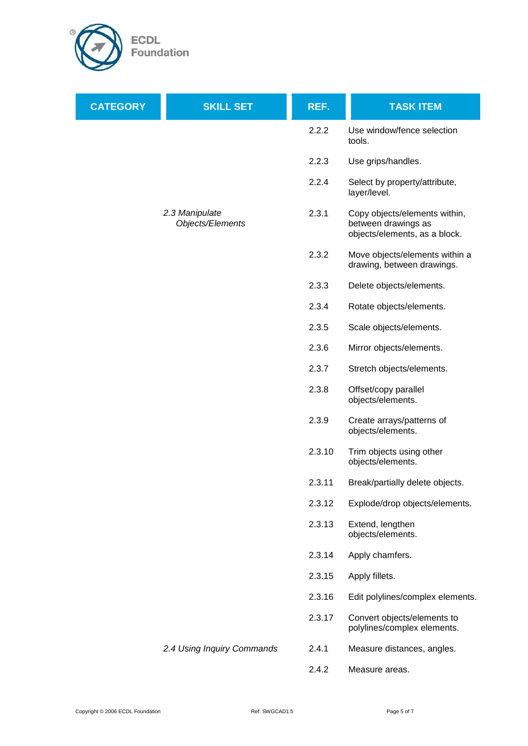

| <b>CATEGORY</b> | <b>SKILL SET</b>                   | REF.   | <b>TASK ITEM</b>                                                                      |
|-----------------|------------------------------------|--------|---------------------------------------------------------------------------------------|
|                 |                                    | 2.2.2  | Use window/fence selection<br>tools.                                                  |
|                 |                                    | 2.2.3  | Use grips/handles.                                                                    |
|                 |                                    | 2.2.4  | Select by property/attribute,<br>layer/level.                                         |
|                 | 2.3 Manipulate<br>Objects/Elements | 2.3.1  | Copy objects/elements within,<br>between drawings as<br>objects/elements, as a block. |
|                 |                                    | 2.3.2  | Move objects/elements within a<br>drawing, between drawings.                          |
|                 |                                    | 2.3.3  | Delete objects/elements.                                                              |
|                 |                                    | 2.3.4  | Rotate objects/elements.                                                              |
|                 |                                    | 2.3.5  | Scale objects/elements.                                                               |
|                 |                                    | 2.3.6  | Mirror objects/elements.                                                              |
|                 |                                    | 2.3.7  | Stretch objects/elements.                                                             |
|                 |                                    | 2.3.8  | Offset/copy parallel<br>objects/elements.                                             |
|                 |                                    | 2.3.9  | Create arrays/patterns of<br>objects/elements.                                        |
|                 |                                    | 2.3.10 | Trim objects using other<br>objects/elements.                                         |
|                 |                                    | 2.3.11 | Break/partially delete objects.                                                       |
|                 |                                    | 2.3.12 | Explode/drop objects/elements.                                                        |
|                 |                                    | 2.3.13 | Extend, lengthen<br>objects/elements.                                                 |
|                 |                                    | 2.3.14 | Apply chamfers.                                                                       |
|                 |                                    | 2.3.15 | Apply fillets.                                                                        |
|                 |                                    | 2.3.16 | Edit polylines/complex elements.                                                      |
|                 |                                    | 2.3.17 | Convert objects/elements to<br>polylines/complex elements.                            |
|                 | 2.4 Using Inquiry Commands         | 2.4.1  | Measure distances, angles.                                                            |
|                 |                                    | 2.4.2  | Measure areas.                                                                        |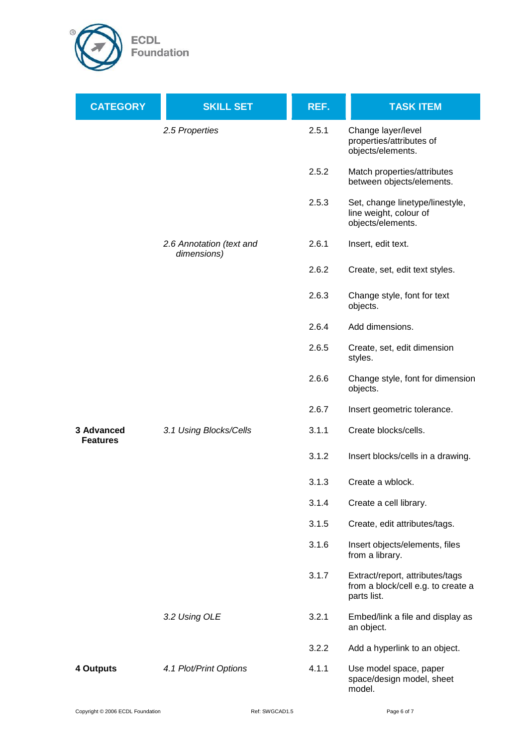

| <b>CATEGORY</b>               | <b>SKILL SET</b>                        | REF.  | <b>TASK ITEM</b>                                                                     |
|-------------------------------|-----------------------------------------|-------|--------------------------------------------------------------------------------------|
|                               | 2.5 Properties                          | 2.5.1 | Change layer/level<br>properties/attributes of<br>objects/elements.                  |
|                               |                                         | 2.5.2 | Match properties/attributes<br>between objects/elements.                             |
|                               |                                         | 2.5.3 | Set, change linetype/linestyle,<br>line weight, colour of<br>objects/elements.       |
|                               | 2.6 Annotation (text and<br>dimensions) | 2.6.1 | Insert, edit text.                                                                   |
|                               |                                         | 2.6.2 | Create, set, edit text styles.                                                       |
|                               |                                         | 2.6.3 | Change style, font for text<br>objects.                                              |
|                               |                                         | 2.6.4 | Add dimensions.                                                                      |
|                               |                                         | 2.6.5 | Create, set, edit dimension<br>styles.                                               |
|                               |                                         | 2.6.6 | Change style, font for dimension<br>objects.                                         |
|                               |                                         | 2.6.7 | Insert geometric tolerance.                                                          |
| 3 Advanced<br><b>Features</b> | 3.1 Using Blocks/Cells                  | 3.1.1 | Create blocks/cells.                                                                 |
|                               |                                         | 3.1.2 | Insert blocks/cells in a drawing.                                                    |
|                               |                                         | 3.1.3 | Create a wblock.                                                                     |
|                               |                                         | 3.1.4 | Create a cell library.                                                               |
|                               |                                         | 3.1.5 | Create, edit attributes/tags.                                                        |
|                               |                                         | 3.1.6 | Insert objects/elements, files<br>from a library.                                    |
|                               |                                         | 3.1.7 | Extract/report, attributes/tags<br>from a block/cell e.g. to create a<br>parts list. |
|                               | 3.2 Using OLE                           | 3.2.1 | Embed/link a file and display as<br>an object.                                       |
|                               |                                         | 3.2.2 | Add a hyperlink to an object.                                                        |
| 4 Outputs                     | 4.1 Plot/Print Options                  | 4.1.1 | Use model space, paper<br>space/design model, sheet<br>model.                        |